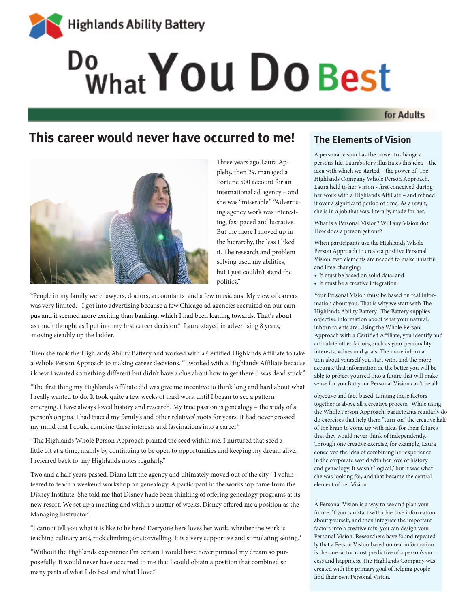

# Do What You Do Best

## for Adults

# **This career would never have occurred to me! The Elements of Vision**



Three years ago Laura Appleby, then 29, managed a Fortune 500 account for an international ad agency – and she was "miserable." "Advertising agency work was interesting, fast paced and lucrative. But the more I moved up in the hierarchy, the less I liked it. The research and problem solving used my abilities, but I just couldn't stand the politics."

"People in my family were lawyers, doctors, accountants and a few musicians. My view of careers was very limited. I got into advertising because a few Chicago ad agencies recruited on our campus and it seemed more exciting than banking, which I had been leaning towards. That's about as much thought as I put into my first career decision." Laura stayed in advertising 8 years, moving steadily up the ladder.

Then she took the Highlands Ability Battery and worked with a Certified Highlands Affiliate to take a Whole Person Approach to making career decisions. "I worked with a Highlands Affiliate because i knew I wanted something different but didn't have a clue about how to get there. I was dead stuck."

"The first thing my Highlands Affiliate did was give me incentive to think long and hard about what I really wanted to do. It took quite a few weeks of hard work until I began to see a pattern emerging. I have always loved history and research. My true passion is genealogy – the study of a person's origins. I had traced my family's and other relatives' roots for years. It had never crossed my mind that I could combine these interests and fascinations into a career."

"The Highlands Whole Person Approach planted the seed within me. I nurtured that seed a little bit at a time, mainly by continuing to be open to opportunities and keeping my dream alive. I referred back to my Highlands notes regularly."

Two and a half years passed. Diana left the agency and ultimately moved out of the city. "I volunteered to teach a weekend workshop on genealogy. A participant in the workshop came from the Disney Institute. She told me that Disney hade been thinking of offering genealogy programs at its new resort. We set up a meeting and within a matter of weeks, Disney offered me a position as the Managing Instructor."

"I cannot tell you what it is like to be here! Everyone here loves her work, whether the work is teaching culinary arts, rock climbing or storytelling. It is a very supportive and stimulating setting."

"Without the Highlands experience I'm certain I would have never pursued my dream so purposefully. It would never have occurred to me that I could obtain a position that combined so many parts of what I do best and what I love."

A personal vision has the power to change a person's life. Laura's story illustrates this idea – the idea with which we started – the power of The Highlands Company Whole Person Approach. Laura held to her Vision - first conceived during her work with a Highlands Affiliate.– and refined it over a significant period of time. As a result, she is in a job that was, literally, made for her.

What is a Personal Vision? Will any Vision do? How does a person get one?

When participants use the Highlands Whole Person Approach to create a positive Personal Vision, two elements are needed to make it useful and lifee-changing:

- It must be based on solid data; and
- It must be a creative integration.

Your Personal Vision must be based on real information about you. That is why we start with The Highlands Ability Battery. The Battery supplies objective information about what your natural, inborn talents are. Using the Whole Person Approach with a Certified Affiliate, you identify and articulate other factors, such as your personality, interests, values and goals. The more information about yourself you start with, and the more accurate that information is, the better you will be able to project yourself into a future that will make sense for you.But your Personal Vision can't be all

objective and fact-based. Linking these factors together is above all a creative process. While using the Whole Person Approach, participants regularly do do exercises that help them "turn-on" the creative half of the brain to come up with ideas for their futures that they would never think of independently. Through one creative exercise, for example, Laura conceived the idea of combining her experience in the corporate world with her love of history and genealogy. It wasn't 'logical,' but it was what she was looking for, and that became the central element of her Vision.

A Personal Vision is a way to see and plan your future. If you can start with objective information about yourself, and then integrate the important factors into a creative mix, you can design your Personal Vision. Researchers have found repeatedly that a Person Vision based on real information is the one factor most predictive of a person's success and happiness. The Highlands Company was created with the primary goal of helping people find their own Personal Vision.